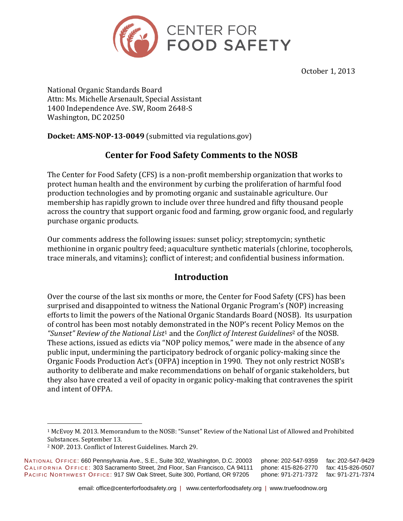

October 1, 2013

National Organic Standards Board Attn: Ms. Michelle Arsenault, Special Assistant 1400 Independence Ave. SW, Room 2648-S Washington, DC 20250

**Docket: AMS-NOP-13-0049** (submitted via regulations.gov)

# **Center for Food Safety Comments to the NOSB**

The Center for Food Safety (CFS) is a non-profit membership organization that works to protect human health and the environment by curbing the proliferation of harmful food production technologies and by promoting organic and sustainable agriculture. Our membership has rapidly grown to include over three hundred and fifty thousand people across the country that support organic food and farming, grow organic food, and regularly purchase organic products.

Our comments address the following issues: sunset policy; streptomycin; synthetic methionine in organic poultry feed; aquaculture synthetic materials (chlorine, tocopherols, trace minerals, and vitamins); conflict of interest; and confidential business information.

## **Introduction**

Over the course of the last six months or more, the Center for Food Safety (CFS) has been surprised and disappointed to witness the National Organic Program's (NOP) increasing efforts to limit the powers of the National Organic Standards Board (NOSB). Its usurpation of control has been most notably demonstrated in the NOP's recent Policy Memos on the *"Sunset" Review of the National List*<sup>1</sup> and the *Conflict of Interest Guidelines*<sup>2</sup> of the NOSB. These actions, issued as edicts via "NOP policy memos," were made in the absence of any public input, undermining the participatory bedrock of organic policy-making since the Organic Foods Production Act's (OFPA) inception in 1990. They not only restrict NOSB's authority to deliberate and make recommendations on behalf of organic stakeholders, but they also have created a veil of opacity in organic policy-making that contravenes the spirit and intent of OFPA.

<sup>1</sup> McEvoy M. 2013. Memorandum to the NOSB: "Sunset" Review of the National List of Allowed and Prohibited Substances. September 13.

<sup>2</sup> NOP. 2013. Conflict of Interest Guidelines. March 29.

NA T ION A L OF F IC E: 660 Pennsylvania Ave., S.E., Suite 302, Washington, D.C. 20003 phone: 202-547-9359 fax: 202-547-9429 CALIFORNIA OFFICE: 303 Sacramento Street, 2nd Floor, San Francisco, CA 94111 phone: 415-826-2770 fax: 415-826-0507<br>PACIFIC NORTHWEST OFFICE: 917 SW Oak Street, Suite 300, Portland, OR 97205 phone: 971-271-7372 fax: 971-271 PACIFIC NORTHWEST OFFICE: 917 SW Oak Street, Suite 300, Portland, OR 97205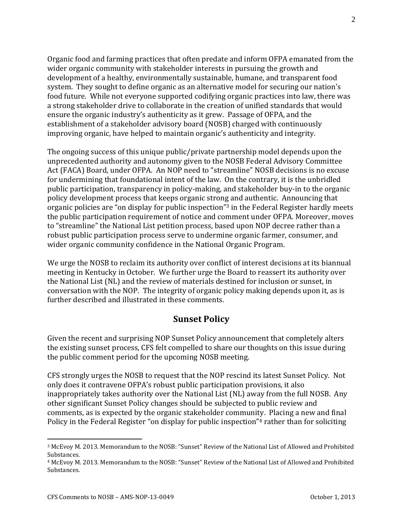Organic food and farming practices that often predate and inform OFPA emanated from the wider organic community with stakeholder interests in pursuing the growth and development of a healthy, environmentally sustainable, humane, and transparent food system. They sought to define organic as an alternative model for securing our nation's food future. While not everyone supported codifying organic practices into law, there was a strong stakeholder drive to collaborate in the creation of unified standards that would ensure the organic industry's authenticity as it grew. Passage of OFPA, and the establishment of a stakeholder advisory board (NOSB) charged with continuously improving organic, have helped to maintain organic's authenticity and integrity.

The ongoing success of this unique public/private partnership model depends upon the unprecedented authority and autonomy given to the NOSB Federal Advisory Committee Act (FACA) Board, under OFPA. An NOP need to "streamline" NOSB decisions is no excuse for undermining that foundational intent of the law. On the contrary, it is the unbridled public participation, transparency in policy-making, and stakeholder buy-in to the organic policy development process that keeps organic strong and authentic. Announcing that organic policies are "on display for public inspection"<sup>3</sup> in the Federal Register hardly meets the public participation requirement of notice and comment under OFPA. Moreover, moves to "streamline" the National List petition process, based upon NOP decree rather than a robust public participation process serve to undermine organic farmer, consumer, and wider organic community confidence in the National Organic Program.

We urge the NOSB to reclaim its authority over conflict of interest decisions at its biannual meeting in Kentucky in October. We further urge the Board to reassert its authority over the National List (NL) and the review of materials destined for inclusion or sunset, in conversation with the NOP. The integrity of organic policy making depends upon it, as is further described and illustrated in these comments.

## **Sunset Policy**

Given the recent and surprising NOP Sunset Policy announcement that completely alters the existing sunset process, CFS felt compelled to share our thoughts on this issue during the public comment period for the upcoming NOSB meeting.

CFS strongly urges the NOSB to request that the NOP rescind its latest Sunset Policy. Not only does it contravene OFPA's robust public participation provisions, it also inappropriately takes authority over the National List (NL) away from the full NOSB. Any other significant Sunset Policy changes should be subjected to public review and comments, as is expected by the organic stakeholder community. Placing a new and final Policy in the Federal Register "on display for public inspection"<sup>4</sup> rather than for soliciting

<sup>3</sup> McEvoy M. 2013. Memorandum to the NOSB: "Sunset" Review of the National List of Allowed and Prohibited Substances.

<sup>4</sup> McEvoy M. 2013. Memorandum to the NOSB: "Sunset" Review of the National List of Allowed and Prohibited Substances.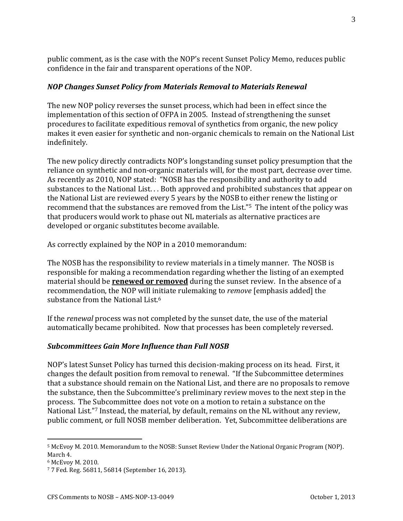public comment, as is the case with the NOP's recent Sunset Policy Memo, reduces public confidence in the fair and transparent operations of the NOP.

#### *NOP Changes Sunset Policy from Materials Removal to Materials Renewal*

The new NOP policy reverses the sunset process, which had been in effect since the implementation of this section of OFPA in 2005. Instead of strengthening the sunset procedures to facilitate expeditious removal of synthetics from organic, the new policy makes it even easier for synthetic and non-organic chemicals to remain on the National List indefinitely.

The new policy directly contradicts NOP's longstanding sunset policy presumption that the reliance on synthetic and non-organic materials will, for the most part, decrease over time. As recently as 2010, NOP stated: "NOSB has the responsibility and authority to add substances to the National List. . . Both approved and prohibited substances that appear on the National List are reviewed every 5 years by the NOSB to either renew the listing or recommend that the substances are removed from the List."5 The intent of the policy was that producers would work to phase out NL materials as alternative practices are developed or organic substitutes become available.

As correctly explained by the NOP in a 2010 memorandum:

The NOSB has the responsibility to review materials in a timely manner. The NOSB is responsible for making a recommendation regarding whether the listing of an exempted material should be **renewed or removed** during the sunset review. In the absence of a recommendation, the NOP will initiate rulemaking to *remove* [emphasis added] the substance from the National List.<sup>6</sup>

If the *renewal* process was not completed by the sunset date, the use of the material automatically became prohibited. Now that processes has been completely reversed.

#### *Subcommittees Gain More Influence than Full NOSB*

NOP's latest Sunset Policy has turned this decision-making process on its head. First, it changes the default position from removal to renewal. "If the Subcommittee determines that a substance should remain on the National List, and there are no proposals to remove the substance, then the Subcommittee's preliminary review moves to the next step in the process. The Subcommittee does not vote on a motion to retain a substance on the National List."<sup>7</sup> Instead, the material, by default, remains on the NL without any review, public comment, or full NOSB member deliberation. Yet, Subcommittee deliberations are

 $\overline{a}$ 

3

<sup>5</sup> McEvoy M. 2010. Memorandum to the NOSB: Sunset Review Under the National Organic Program (NOP). March 4.

<sup>6</sup> McEvoy M. 2010.

<sup>7</sup> 7 Fed. Reg. 56811, 56814 (September 16, 2013).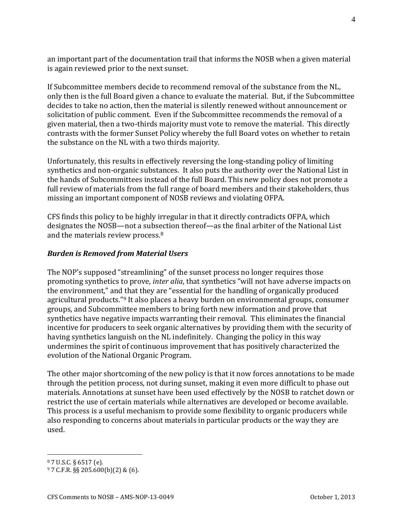an important part of the documentation trail that informs the NOSB when a given material is again reviewed prior to the next sunset.

If Subcommittee members decide to recommend removal of the substance from the NL, only then is the full Board given a chance to evaluate the material. But, if the Subcommittee decides to take no action, then the material is silently renewed without announcement or solicitation of public comment. Even if the Subcommittee recommends the removal of a given material, then a two-thirds majority must vote to remove the material. This directly contrasts with the former Sunset Policy whereby the full Board votes on whether to retain the substance on the NL with a two thirds majority.

Unfortunately, this results in effectively reversing the long-standing policy of limiting synthetics and non-organic substances. It also puts the authority over the National List in the hands of Subcommittees instead of the full Board. This new policy does not promote a full review of materials from the full range of board members and their stakeholders, thus missing an important component of NOSB reviews and violating OFPA.

CFS finds this policy to be highly irregular in that it directly contradicts OFPA, which designates the NOSB—not a subsection thereof—as the final arbiter of the National List and the materials review process.<sup>8</sup>

### *Burden is Removed from Material Users*

The NOP's supposed "streamlining" of the sunset process no longer requires those promoting synthetics to prove, *inter alia*, that synthetics "will not have adverse impacts on the environment," and that they are "essential for the handling of organically produced agricultural products."<sup>9</sup> It also places a heavy burden on environmental groups, consumer groups, and Subcommittee members to bring forth new information and prove that synthetics have negative impacts warranting their removal. This eliminates the financial incentive for producers to seek organic alternatives by providing them with the security of having synthetics languish on the NL indefinitely. Changing the policy in this way undermines the spirit of continuous improvement that has positively characterized the evolution of the National Organic Program.

The other major shortcoming of the new policy is that it now forces annotations to be made through the petition process, not during sunset, making it even more difficult to phase out materials. Annotations at sunset have been used effectively by the NOSB to ratchet down or restrict the use of certain materials while alternatives are developed or become available. This process is a useful mechanism to provide some flexibility to organic producers while also responding to concerns about materials in particular products or the way they are used.

<sup>8</sup> 7 U.S.C. § 6517 (e).

<sup>9</sup> 7 C.F.R. §§ 205.600(b)(2) & (6).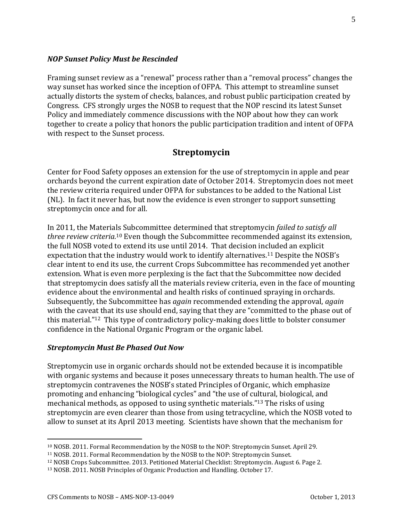#### *NOP Sunset Policy Must be Rescinded*

Framing sunset review as a "renewal" process rather than a "removal process" changes the way sunset has worked since the inception of OFPA. This attempt to streamline sunset actually distorts the system of checks, balances, and robust public participation created by Congress. CFS strongly urges the NOSB to request that the NOP rescind its latest Sunset Policy and immediately commence discussions with the NOP about how they can work together to create a policy that honors the public participation tradition and intent of OFPA with respect to the Sunset process.

#### **Streptomycin**

Center for Food Safety opposes an extension for the use of streptomycin in apple and pear orchards beyond the current expiration date of October 2014. Streptomycin does not meet the review criteria required under OFPA for substances to be added to the National List (NL). In fact it never has, but now the evidence is even stronger to support sunsetting streptomycin once and for all.

In 2011, the Materials Subcommittee determined that streptomycin *failed to satisfy all three review criteria.*<sup>10</sup> Even though the Subcommittee recommended against its extension, the full NOSB voted to extend its use until 2014. That decision included an explicit expectation that the industry would work to identify alternatives.<sup>11</sup> Despite the NOSB's clear intent to end its use, the current Crops Subcommittee has recommended yet another extension. What is even more perplexing is the fact that the Subcommittee now decided that streptomycin does satisfy all the materials review criteria, even in the face of mounting evidence about the environmental and health risks of continued spraying in orchards. Subsequently, the Subcommittee has *again* recommended extending the approval, *again* with the caveat that its use should end, saying that they are "committed to the phase out of this material."12 This type of contradictory policy-making does little to bolster consumer confidence in the National Organic Program or the organic label.

#### *Streptomycin Must Be Phased Out Now*

Streptomycin use in organic orchards should not be extended because it is incompatible with organic systems and because it poses unnecessary threats to human health. The use of streptomycin contravenes the NOSB's stated Principles of Organic, which emphasize promoting and enhancing "biological cycles" and "the use of cultural, biological, and mechanical methods, as opposed to using synthetic materials."<sup>13</sup> The risks of using streptomycin are even clearer than those from using tetracycline, which the NOSB voted to allow to sunset at its April 2013 meeting. Scientists have shown that the mechanism for

<sup>10</sup> NOSB. 2011. Formal Recommendation by the NOSB to the NOP: Streptomycin Sunset. April 29.

<sup>11</sup> NOSB. 2011. Formal Recommendation by the NOSB to the NOP: Streptomycin Sunset.

<sup>12</sup> NOSB Crops Subcommittee. 2013. Petitioned Material Checklist: Streptomycin. August 6. Page 2.

<sup>13</sup> NOSB. 2011. NOSB Principles of Organic Production and Handling. October 17.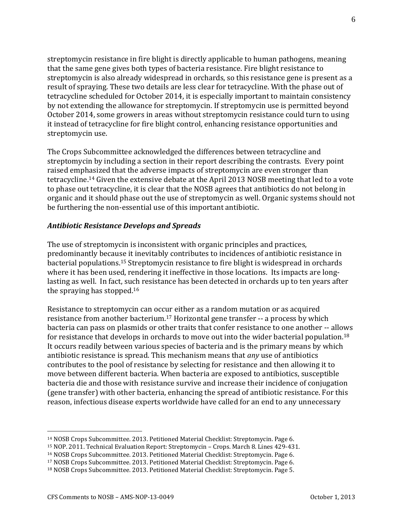streptomycin resistance in fire blight is directly applicable to human pathogens, meaning that the same gene gives both types of bacteria resistance. Fire blight resistance to streptomycin is also already widespread in orchards, so this resistance gene is present as a result of spraying. These two details are less clear for tetracycline. With the phase out of tetracycline scheduled for October 2014, it is especially important to maintain consistency by not extending the allowance for streptomycin. If streptomycin use is permitted beyond October 2014, some growers in areas without streptomycin resistance could turn to using it instead of tetracycline for fire blight control, enhancing resistance opportunities and streptomycin use.

The Crops Subcommittee acknowledged the differences between tetracycline and streptomycin by including a section in their report describing the contrasts. Every point raised emphasized that the adverse impacts of streptomycin are even stronger than tetracycline.<sup>14</sup> Given the extensive debate at the April 2013 NOSB meeting that led to a vote to phase out tetracycline, it is clear that the NOSB agrees that antibiotics do not belong in organic and it should phase out the use of streptomycin as well. Organic systems should not be furthering the non-essential use of this important antibiotic.

#### *Antibiotic Resistance Develops and Spreads*

The use of streptomycin is inconsistent with organic principles and practices, predominantly because it inevitably contributes to incidences of antibiotic resistance in bacterial populations.<sup>15</sup> Streptomycin resistance to fire blight is widespread in orchards where it has been used, rendering it ineffective in those locations. Its impacts are longlasting as well. In fact, such resistance has been detected in orchards up to ten years after the spraying has stopped.<sup>16</sup>

Resistance to streptomycin can occur either as a random mutation or as acquired resistance from another bacterium.<sup>17</sup> Horizontal gene transfer -- a process by which bacteria can pass on plasmids or other traits that confer resistance to one another -- allows for resistance that develops in orchards to move out into the wider bacterial population.<sup>18</sup> It occurs readily between various species of bacteria and is the primary means by which antibiotic resistance is spread. This mechanism means that *any* use of antibiotics contributes to the pool of resistance by selecting for resistance and then allowing it to move between different bacteria. When bacteria are exposed to antibiotics, susceptible bacteria die and those with resistance survive and increase their incidence of conjugation (gene transfer) with other bacteria, enhancing the spread of antibiotic resistance. For this reason, infectious disease experts worldwide have called for an end to any unnecessary

<sup>14</sup> NOSB Crops Subcommittee. 2013. Petitioned Material Checklist: Streptomycin. Page 6.

<sup>15</sup> NOP. 2011. Technical Evaluation Report: Streptomycin – Crops. March 8. Lines 429-431.

<sup>16</sup> NOSB Crops Subcommittee. 2013. Petitioned Material Checklist: Streptomycin. Page 6.

<sup>17</sup> NOSB Crops Subcommittee. 2013. Petitioned Material Checklist: Streptomycin. Page 6.

<sup>18</sup> NOSB Crops Subcommittee. 2013. Petitioned Material Checklist: Streptomycin. Page 5.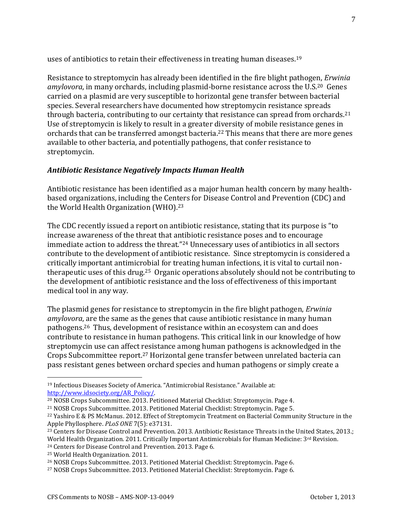uses of antibiotics to retain their effectiveness in treating human diseases.<sup>19</sup>

Resistance to streptomycin has already been identified in the fire blight pathogen, *Erwinia amylovora*, in many orchards, including plasmid-borne resistance across the U.S.20 Genes carried on a plasmid are very susceptible to horizontal gene transfer between bacterial species. Several researchers have documented how streptomycin resistance spreads through bacteria, contributing to our certainty that resistance can spread from orchards.<sup>21</sup> Use of streptomycin is likely to result in a greater diversity of mobile resistance genes in orchards that can be transferred amongst bacteria.<sup>22</sup> This means that there are more genes available to other bacteria, and potentially pathogens, that confer resistance to streptomycin.

### *Antibiotic Resistance Negatively Impacts Human Health*

Antibiotic resistance has been identified as a major human health concern by many healthbased organizations, including the Centers for Disease Control and Prevention (CDC) and the World Health Organization (WHO).<sup>23</sup>

The CDC recently issued a report on antibiotic resistance, stating that its purpose is "to increase awareness of the threat that antibiotic resistance poses and to encourage immediate action to address the threat."<sup>24</sup> Unnecessary uses of antibiotics in all sectors contribute to the development of antibiotic resistance. Since streptomycin is considered a critically important antimicrobial for treating human infections, it is vital to curtail nontherapeutic uses of this drug.25 Organic operations absolutely should not be contributing to the development of antibiotic resistance and the loss of effectiveness of this important medical tool in any way.

The plasmid genes for resistance to streptomycin in the fire blight pathogen, *Erwinia amylovora*, are the same as the genes that cause antibiotic resistance in many human pathogens.26 Thus, development of resistance within an ecosystem can and does contribute to resistance in human pathogens. This critical link in our knowledge of how streptomycin use can affect resistance among human pathogens is acknowledged in the Crops Subcommittee report.<sup>27</sup> Horizontal gene transfer between unrelated bacteria can pass resistant genes between orchard species and human pathogens or simply create a

<sup>19</sup> Infectious Diseases Society of America. "Antimicrobial Resistance." Available at: [http://www.idsociety.org/AR\\_Policy/.](http://www.idsociety.org/AR_Policy/)

<sup>20</sup> NOSB Crops Subcommittee. 2013. Petitioned Material Checklist: Streptomycin. Page 4.

<sup>21</sup> NOSB Crops Subcommittee. 2013. Petitioned Material Checklist: Streptomycin. Page 5.

<sup>22</sup> Yashiro E & PS McManus. 2012. Effect of Streptomycin Treatment on Bacterial Community Structure in the Apple Phyllosphere. *PLoS ONE* 7(5): e37131.

<sup>&</sup>lt;sup>23</sup> Centers for Disease Control and Prevention. 2013. Antibiotic Resistance Threats in the United States, 2013.; World Health Organization. 2011. Critically Important Antimicrobials for Human Medicine:  $3<sup>rd</sup>$  Revision. <sup>24</sup> Centers for Disease Control and Prevention. 2013. Page 6.

<sup>25</sup> World Health Organization. 2011.

<sup>26</sup> NOSB Crops Subcommittee. 2013. Petitioned Material Checklist: Streptomycin. Page 6.

<sup>27</sup> NOSB Crops Subcommittee. 2013. Petitioned Material Checklist: Streptomycin. Page 6.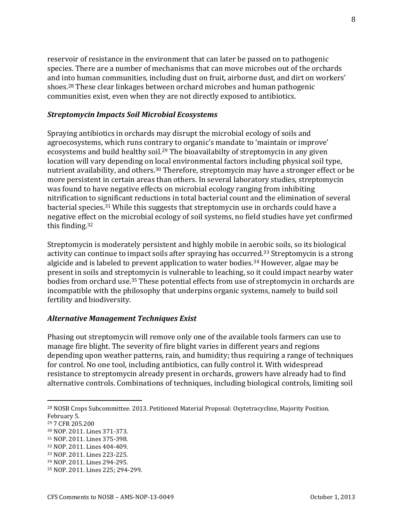reservoir of resistance in the environment that can later be passed on to pathogenic species. There are a number of mechanisms that can move microbes out of the orchards and into human communities, including dust on fruit, airborne dust, and dirt on workers' shoes.<sup>28</sup> These clear linkages between orchard microbes and human pathogenic communities exist, even when they are not directly exposed to antibiotics.

#### *Streptomycin Impacts Soil Microbial Ecosystems*

Spraying antibiotics in orchards may disrupt the microbial ecology of soils and agroecosystems, which runs contrary to organic's mandate to 'maintain or improve' ecosystems and build healthy soil.<sup>29</sup> The bioavailabilty of streptomycin in any given location will vary depending on local environmental factors including physical soil type, nutrient availability, and others.<sup>30</sup> Therefore, streptomycin may have a stronger effect or be more persistent in certain areas than others. In several laboratory studies, streptomycin was found to have negative effects on microbial ecology ranging from inhibiting nitrification to significant reductions in total bacterial count and the elimination of several bacterial species.<sup>31</sup> While this suggests that streptomycin use in orchards could have a negative effect on the microbial ecology of soil systems, no field studies have yet confirmed this finding.<sup>32</sup>

Streptomycin is moderately persistent and highly mobile in aerobic soils, so its biological activity can continue to impact soils after spraying has occurred.<sup>33</sup> Streptomycin is a strong algicide and is labeled to prevent application to water bodies.<sup>34</sup> However, algae may be present in soils and streptomycin is vulnerable to leaching, so it could impact nearby water bodies from orchard use.<sup>35</sup> These potential effects from use of streptomycin in orchards are incompatible with the philosophy that underpins organic systems, namely to build soil fertility and biodiversity.

#### *Alternative Management Techniques Exist*

Phasing out streptomycin will remove only one of the available tools farmers can use to manage fire blight. The severity of fire blight varies in different years and regions depending upon weather patterns, rain, and humidity; thus requiring a range of techniques for control. No one tool, including antibiotics, can fully control it. With widespread resistance to streptomycin already present in orchards, growers have already had to find alternative controls. Combinations of techniques, including biological controls, limiting soil

 $\overline{a}$ 

- <sup>30</sup> NOP. 2011. Lines 371-373.
- <sup>31</sup> NOP. 2011. Lines 375-398.
- <sup>32</sup> NOP. 2011. Lines 404-409.

<sup>34</sup> NOP. 2011. Lines 294-295.

<sup>28</sup> NOSB Crops Subcommittee. 2013. Petitioned Material Proposal: Oxytetracycline, Majority Position. February 5.

<sup>29</sup> 7 CFR 205.200

<sup>33</sup> NOP. 2011. Lines 223-225.

<sup>35</sup> NOP. 2011. Lines 225; 294-299.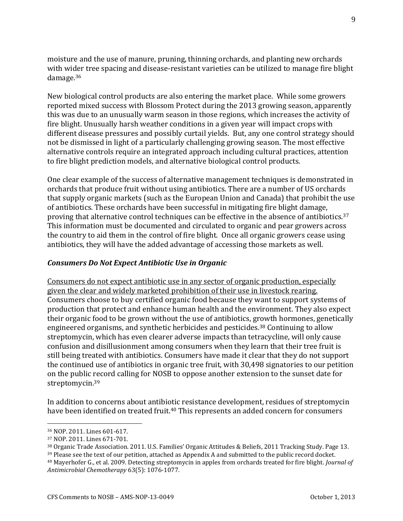moisture and the use of manure, pruning, thinning orchards, and planting new orchards with wider tree spacing and disease-resistant varieties can be utilized to manage fire blight damage.<sup>36</sup>

New biological control products are also entering the market place. While some growers reported mixed success with Blossom Protect during the 2013 growing season, apparently this was due to an unusually warm season in those regions, which increases the activity of fire blight. Unusually harsh weather conditions in a given year will impact crops with different disease pressures and possibly curtail yields. But, any one control strategy should not be dismissed in light of a particularly challenging growing season. The most effective alternative controls require an integrated approach including cultural practices, attention to fire blight prediction models, and alternative biological control products.

One clear example of the success of alternative management techniques is demonstrated in orchards that produce fruit without using antibiotics. There are a number of US orchards that supply organic markets (such as the European Union and Canada) that prohibit the use of antibiotics. These orchards have been successful in mitigating fire blight damage, proving that alternative control techniques can be effective in the absence of antibiotics.<sup>37</sup> This information must be documented and circulated to organic and pear growers across the country to aid them in the control of fire blight. Once all organic growers cease using antibiotics, they will have the added advantage of accessing those markets as well.

#### *Consumers Do Not Expect Antibiotic Use in Organic*

Consumers do not expect antibiotic use in any sector of organic production, especially given the clear and widely marketed prohibition of their use in livestock rearing. Consumers choose to buy certified organic food because they want to support systems of production that protect and enhance human health and the environment. They also expect their organic food to be grown without the use of antibiotics, growth hormones, genetically engineered organisms, and synthetic herbicides and pesticides.<sup>38</sup> Continuing to allow streptomycin, which has even clearer adverse impacts than tetracycline, will only cause confusion and disillusionment among consumers when they learn that their tree fruit is still being treated with antibiotics. Consumers have made it clear that they do not support the continued use of antibiotics in organic tree fruit, with 30,498 signatories to our petition on the public record calling for NOSB to oppose another extension to the sunset date for streptomycin.<sup>39</sup>

In addition to concerns about antibiotic resistance development, residues of streptomycin have been identified on treated fruit.<sup>40</sup> This represents an added concern for consumers

<sup>36</sup> NOP. 2011. Lines 601-617.

<sup>37</sup> NOP. 2011. Lines 671-701.

<sup>38</sup> Organic Trade Association. 2011. U.S. Families' Organic Attitudes & Beliefs, 2011 Tracking Study. Page 13.

<sup>&</sup>lt;sup>39</sup> Please see the text of our petition, attached as Appendix A and submitted to the public record docket.

<sup>40</sup> Mayerhofer G., et al. 2009. Detecting streptomycin in apples from orchards treated for fire blight. *Journal of Antimicrobial Chemotherapy* 63(5): 1076-1077.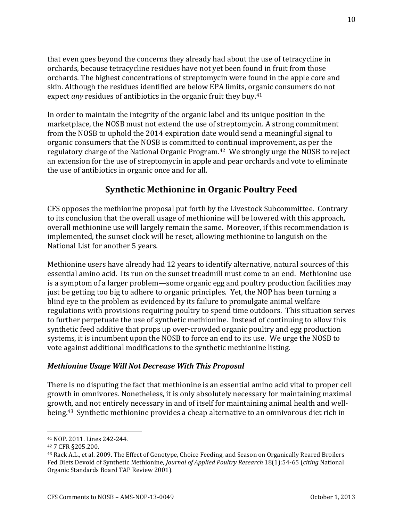that even goes beyond the concerns they already had about the use of tetracycline in orchards, because tetracycline residues have not yet been found in fruit from those orchards. The highest concentrations of streptomycin were found in the apple core and skin. Although the residues identified are below EPA limits, organic consumers do not expect *any* residues of antibiotics in the organic fruit they buy.<sup>41</sup>

In order to maintain the integrity of the organic label and its unique position in the marketplace, the NOSB must not extend the use of streptomycin. A strong commitment from the NOSB to uphold the 2014 expiration date would send a meaningful signal to organic consumers that the NOSB is committed to continual improvement, as per the regulatory charge of the National Organic Program.42 We strongly urge the NOSB to reject an extension for the use of streptomycin in apple and pear orchards and vote to eliminate the use of antibiotics in organic once and for all.

# **Synthetic Methionine in Organic Poultry Feed**

CFS opposes the methionine proposal put forth by the Livestock Subcommittee. Contrary to its conclusion that the overall usage of methionine will be lowered with this approach, overall methionine use will largely remain the same. Moreover, if this recommendation is implemented, the sunset clock will be reset, allowing methionine to languish on the National List for another 5 years.

Methionine users have already had 12 years to identify alternative, natural sources of this essential amino acid. Its run on the sunset treadmill must come to an end. Methionine use is a symptom of a larger problem—some organic egg and poultry production facilities may just be getting too big to adhere to organic principles. Yet, the NOP has been turning a blind eye to the problem as evidenced by its failure to promulgate animal welfare regulations with provisions requiring poultry to spend time outdoors. This situation serves to further perpetuate the use of synthetic methionine. Instead of continuing to allow this synthetic feed additive that props up over-crowded organic poultry and egg production systems, it is incumbent upon the NOSB to force an end to its use. We urge the NOSB to vote against additional modifications to the synthetic methionine listing.

#### *Methionine Usage Will Not Decrease With This Proposal*

There is no disputing the fact that methionine is an essential amino acid vital to proper cell growth in omnivores. Nonetheless, it is only absolutely necessary for maintaining maximal growth, and not entirely necessary in and of itself for maintaining animal health and wellbeing.43 Synthetic methionine provides a cheap alternative to an omnivorous diet rich in

 $\overline{a}$ 

10

<sup>41</sup> NOP. 2011. Lines 242-244.

<sup>42</sup> 7 CFR §205.200.

<sup>43</sup> Rack A.L., et al. 2009. The Effect of Genotype, Choice Feeding, and Season on Organically Reared Broilers Fed Diets Devoid of Synthetic Methionine, *Journal of Applied Poultry Research* 18(1):54-65 (*citing* National Organic Standards Board TAP Review 2001).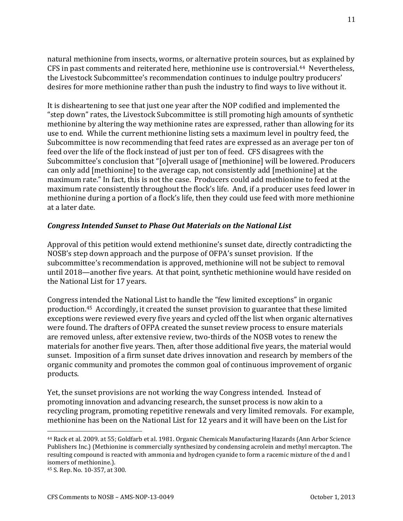natural methionine from insects, worms, or alternative protein sources, but as explained by CFS in past comments and reiterated here, methionine use is controversial.44 Nevertheless, the Livestock Subcommittee's recommendation continues to indulge poultry producers' desires for more methionine rather than push the industry to find ways to live without it.

It is disheartening to see that just one year after the NOP codified and implemented the "step down" rates, the Livestock Subcommittee is still promoting high amounts of synthetic methionine by altering the way methionine rates are expressed, rather than allowing for its use to end. While the current methionine listing sets a maximum level in poultry feed, the Subcommittee is now recommending that feed rates are expressed as an average per ton of feed over the life of the flock instead of just per ton of feed. CFS disagrees with the Subcommittee's conclusion that "[o]verall usage of [methionine] will be lowered. Producers can only add [methionine] to the average cap, not consistently add [methionine] at the maximum rate." In fact, this is not the case. Producers could add methionine to feed at the maximum rate consistently throughout the flock's life. And, if a producer uses feed lower in methionine during a portion of a flock's life, then they could use feed with more methionine at a later date.

#### *Congress Intended Sunset to Phase Out Materials on the National List*

Approval of this petition would extend methionine's sunset date, directly contradicting the NOSB's step down approach and the purpose of OFPA's sunset provision. If the subcommittee's recommendation is approved, methionine will not be subject to removal until 2018—another five years. At that point, synthetic methionine would have resided on the National List for 17 years.

Congress intended the National List to handle the "few limited exceptions" in organic production.45 Accordingly, it created the sunset provision to guarantee that these limited exceptions were reviewed every five years and cycled off the list when organic alternatives were found. The drafters of OFPA created the sunset review process to ensure materials are removed unless, after extensive review, two-thirds of the NOSB votes to renew the materials for another five years. Then, after those additional five years, the material would sunset. Imposition of a firm sunset date drives innovation and research by members of the organic community and promotes the common goal of continuous improvement of organic products.

Yet, the sunset provisions are not working the way Congress intended. Instead of promoting innovation and advancing research, the sunset process is now akin to a recycling program, promoting repetitive renewals and very limited removals. For example, methionine has been on the National List for 12 years and it will have been on the List for

<sup>44</sup> Rack et al. 2009. at 55; Goldfarb et al. 1981. Organic Chemicals Manufacturing Hazards (Ann Arbor Science Publishers Inc.) (Methionine is commercially synthesized by condensing acrolein and methyl mercapton. The resulting compound is reacted with ammonia and hydrogen cyanide to form a racemic mixture of the d and l isomers of methionine.).

<sup>45</sup> S. Rep. No. 10-357, at 300.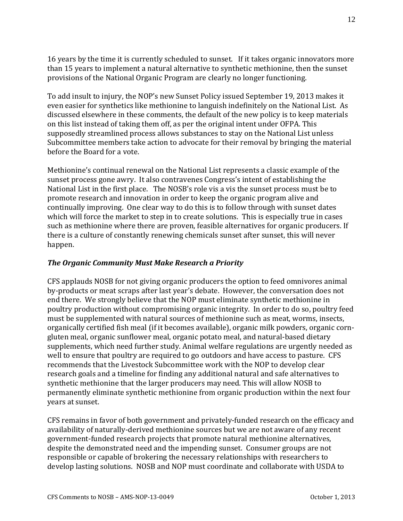16 years by the time it is currently scheduled to sunset. If it takes organic innovators more than 15 years to implement a natural alternative to synthetic methionine, then the sunset provisions of the National Organic Program are clearly no longer functioning.

To add insult to injury, the NOP's new Sunset Policy issued September 19, 2013 makes it even easier for synthetics like methionine to languish indefinitely on the National List. As discussed elsewhere in these comments, the default of the new policy is to keep materials on this list instead of taking them off, as per the original intent under OFPA. This supposedly streamlined process allows substances to stay on the National List unless Subcommittee members take action to advocate for their removal by bringing the material before the Board for a vote.

Methionine's continual renewal on the National List represents a classic example of the sunset process gone awry. It also contravenes Congress's intent of establishing the National List in the first place. The NOSB's role vis a vis the sunset process must be to promote research and innovation in order to keep the organic program alive and continually improving. One clear way to do this is to follow through with sunset dates which will force the market to step in to create solutions. This is especially true in cases such as methionine where there are proven, feasible alternatives for organic producers. If there is a culture of constantly renewing chemicals sunset after sunset, this will never happen.

### *The Organic Community Must Make Research a Priority*

CFS applauds NOSB for not giving organic producers the option to feed omnivores animal by-products or meat scraps after last year's debate. However, the conversation does not end there. We strongly believe that the NOP must eliminate synthetic methionine in poultry production without compromising organic integrity. In order to do so, poultry feed must be supplemented with natural sources of methionine such as meat, worms, insects, organically certified fish meal (if it becomes available), organic milk powders, organic corngluten meal, organic sunflower meal, organic potato meal, and natural-based dietary supplements, which need further study. Animal welfare regulations are urgently needed as well to ensure that poultry are required to go outdoors and have access to pasture. CFS recommends that the Livestock Subcommittee work with the NOP to develop clear research goals and a timeline for finding any additional natural and safe alternatives to synthetic methionine that the larger producers may need. This will allow NOSB to permanently eliminate synthetic methionine from organic production within the next four years at sunset.

CFS remains in favor of both government and privately-funded research on the efficacy and availability of naturally-derived methionine sources but we are not aware of any recent government-funded research projects that promote natural methionine alternatives, despite the demonstrated need and the impending sunset. Consumer groups are not responsible or capable of brokering the necessary relationships with researchers to develop lasting solutions. NOSB and NOP must coordinate and collaborate with USDA to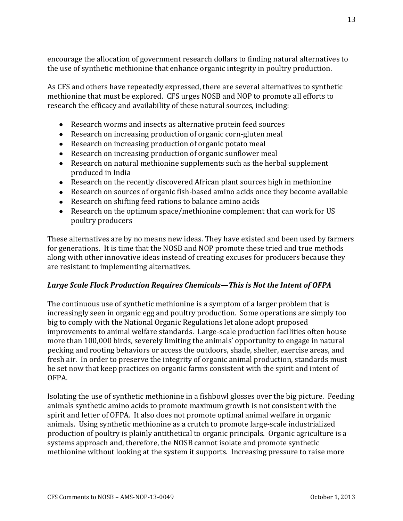encourage the allocation of government research dollars to finding natural alternatives to the use of synthetic methionine that enhance organic integrity in poultry production.

As CFS and others have repeatedly expressed, there are several alternatives to synthetic methionine that must be explored. CFS urges NOSB and NOP to promote all efforts to research the efficacy and availability of these natural sources, including:

- Research worms and insects as alternative protein feed sources
- Research on increasing production of organic corn-gluten meal
- Research on increasing production of organic potato meal
- Research on increasing production of organic sunflower meal
- Research on natural methionine supplements such as the herbal supplement produced in India
- Research on the recently discovered African plant sources high in methionine
- Research on sources of organic fish-based amino acids once they become available
- Research on shifting feed rations to balance amino acids
- Research on the optimum space/methionine complement that can work for US poultry producers

These alternatives are by no means new ideas. They have existed and been used by farmers for generations. It is time that the NOSB and NOP promote these tried and true methods along with other innovative ideas instead of creating excuses for producers because they are resistant to implementing alternatives.

#### *Large Scale Flock Production Requires Chemicals—This is Not the Intent of OFPA*

The continuous use of synthetic methionine is a symptom of a larger problem that is increasingly seen in organic egg and poultry production. Some operations are simply too big to comply with the National Organic Regulations let alone adopt proposed improvements to animal welfare standards. Large-scale production facilities often house more than 100,000 birds, severely limiting the animals' opportunity to engage in natural pecking and rooting behaviors or access the outdoors, shade, shelter, exercise areas, and fresh air. In order to preserve the integrity of organic animal production, standards must be set now that keep practices on organic farms consistent with the spirit and intent of OFPA.

Isolating the use of synthetic methionine in a fishbowl glosses over the big picture. Feeding animals synthetic amino acids to promote maximum growth is not consistent with the spirit and letter of OFPA. It also does not promote optimal animal welfare in organic animals. Using synthetic methionine as a crutch to promote large-scale industrialized production of poultry is plainly antithetical to organic principals. Organic agriculture is a systems approach and, therefore, the NOSB cannot isolate and promote synthetic methionine without looking at the system it supports. Increasing pressure to raise more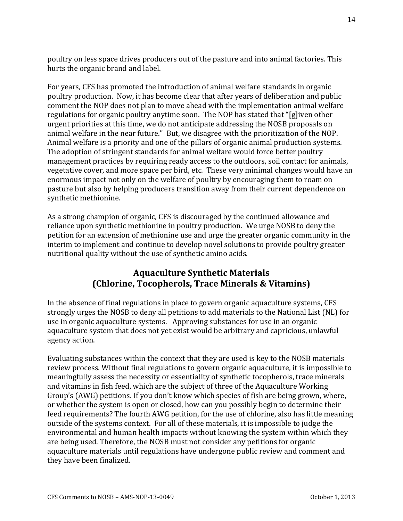poultry on less space drives producers out of the pasture and into animal factories. This hurts the organic brand and label.

For years, CFS has promoted the introduction of animal welfare standards in organic poultry production. Now, it has become clear that after years of deliberation and public comment the NOP does not plan to move ahead with the implementation animal welfare regulations for organic poultry anytime soon. The NOP has stated that "[g]iven other urgent priorities at this time, we do not anticipate addressing the NOSB proposals on animal welfare in the near future." But, we disagree with the prioritization of the NOP. Animal welfare is a priority and one of the pillars of organic animal production systems. The adoption of stringent standards for animal welfare would force better poultry management practices by requiring ready access to the outdoors, soil contact for animals, vegetative cover, and more space per bird, etc. These very minimal changes would have an enormous impact not only on the welfare of poultry by encouraging them to roam on pasture but also by helping producers transition away from their current dependence on synthetic methionine.

As a strong champion of organic, CFS is discouraged by the continued allowance and reliance upon synthetic methionine in poultry production. We urge NOSB to deny the petition for an extension of methionine use and urge the greater organic community in the interim to implement and continue to develop novel solutions to provide poultry greater nutritional quality without the use of synthetic amino acids.

## **Aquaculture Synthetic Materials (Chlorine, Tocopherols, Trace Minerals & Vitamins)**

In the absence of final regulations in place to govern organic aquaculture systems, CFS strongly urges the NOSB to deny all petitions to add materials to the National List (NL) for use in organic aquaculture systems. Approving substances for use in an organic aquaculture system that does not yet exist would be arbitrary and capricious, unlawful agency action.

Evaluating substances within the context that they are used is key to the NOSB materials review process. Without final regulations to govern organic aquaculture, it is impossible to meaningfully assess the necessity or essentiality of synthetic tocopherols, trace minerals and vitamins in fish feed, which are the subject of three of the Aquaculture Working Group's (AWG) petitions. If you don't know which species of fish are being grown, where, or whether the system is open or closed, how can you possibly begin to determine their feed requirements? The fourth AWG petition, for the use of chlorine, also has little meaning outside of the systems context. For all of these materials, it is impossible to judge the environmental and human health impacts without knowing the system within which they are being used. Therefore, the NOSB must not consider any petitions for organic aquaculture materials until regulations have undergone public review and comment and they have been finalized.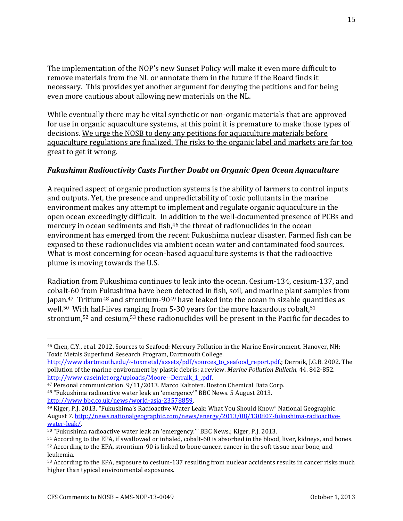The implementation of the NOP's new Sunset Policy will make it even more difficult to remove materials from the NL or annotate them in the future if the Board finds it necessary. This provides yet another argument for denying the petitions and for being even more cautious about allowing new materials on the NL.

While eventually there may be vital synthetic or non-organic materials that are approved for use in organic aquaculture systems, at this point it is premature to make those types of decisions. We urge the NOSB to deny any petitions for aquaculture materials before aquaculture regulations are finalized. The risks to the organic label and markets are far too great to get it wrong.

### *Fukushima Radioactivity Casts Further Doubt on Organic Open Ocean Aquaculture*

A required aspect of organic production systems is the ability of farmers to control inputs and outputs. Yet, the presence and unpredictability of toxic pollutants in the marine environment makes any attempt to implement and regulate organic aquaculture in the open ocean exceedingly difficult. In addition to the well-documented presence of PCBs and mercury in ocean sediments and fish,<sup>46</sup> the threat of radionuclides in the ocean environment has emerged from the recent Fukushima nuclear disaster. Farmed fish can be exposed to these radionuclides via ambient ocean water and contaminated food sources. What is most concerning for ocean-based aquaculture systems is that the radioactive plume is moving towards the U.S.

Radiation from Fukushima continues to leak into the ocean. Cesium-134, cesium-137, and cobalt-60 from Fukushima have been detected in fish, soil, and marine plant samples from Japan.47 Tritium<sup>48</sup> and strontium-90<sup>49</sup> have leaked into the ocean in sizable quantities as well.<sup>50</sup> With half-lives ranging from 5-30 years for the more hazardous cobalt,<sup>51</sup> strontium,<sup>52</sup> and cesium,<sup>53</sup> these radionuclides will be present in the Pacific for decades to

<sup>46</sup> Chen, C.Y., et al. 2012. Sources to Seafood: Mercury Pollution in the Marine Environment. Hanover, NH: Toxic Metals Superfund Research Program, Dartmouth College.

[http://www.dartmouth.edu/~toxmetal/assets/pdf/sources\\_to\\_seafood\\_report.pdf.;](http://www.dartmouth.edu/~toxmetal/assets/pdf/sources_to_seafood_report.pdf) Derraik, J.G.B. 2002. The pollution of the marine environment by plastic debris: a review. *Marine Pollution Bulletin,* 44. 842-852. [http://www.caseinlet.org/uploads/Moore--Derraik\\_1\\_.pdf.](http://www.caseinlet.org/uploads/Moore--Derraik_1_.pdf)

<sup>47</sup> Personal communication. 9/11/2013. Marco Kaltofen. Boston Chemical Data Corp.

<sup>48</sup> "Fukushima radioactive water leak an 'emergency'" BBC News. 5 August 2013. [http://www.bbc.co.uk/news/world-asia-23578859.](http://www.bbc.co.uk/news/world-asia-23578859)

<sup>49</sup> Kiger, P.J. 2013. "Fukushima's Radioactive Water Leak: What You Should Know" National Geographic. August 7. [http://news.nationalgeographic.com/news/energy/2013/08/130807-fukushima-radioactive](http://news.nationalgeographic.com/news/energy/2013/08/130807-fukushima-radioactive-water-leak/)[water-leak/.](http://news.nationalgeographic.com/news/energy/2013/08/130807-fukushima-radioactive-water-leak/)

<sup>50</sup> "Fukushima radioactive water leak an 'emergency.'" BBC News.; Kiger, P.J. 2013.

<sup>51</sup> According to the EPA, if swallowed or inhaled, cobalt-60 is absorbed in the blood, liver, kidneys, and bones. <sup>52</sup> According to the EPA, strontium-90 is linked to bone cancer, cancer in the soft tissue near bone, and leukemia.

<sup>53</sup> According to the EPA, exposure to cesium-137 resulting from nuclear accidents results in cancer risks much higher than typical environmental exposures.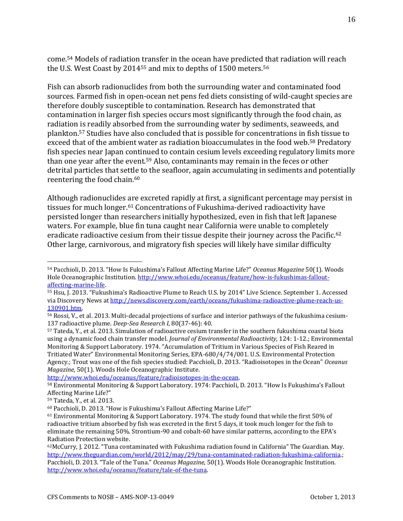come.<sup>54</sup> Models of radiation transfer in the ocean have predicted that radiation will reach the U.S. West Coast by 2014<sup>55</sup> and mix to depths of 1500 meters.<sup>56</sup>

Fish can absorb radionuclides from both the surrounding water and contaminated food sources. Farmed fish in open-ocean net pens fed diets consisting of wild-caught species are therefore doubly susceptible to contamination. Research has demonstrated that contamination in larger fish species occurs most significantly through the food chain, as radiation is readily absorbed from the surrounding water by sediments, seaweeds, and plankton.<sup>57</sup> Studies have also concluded that is possible for concentrations in fish tissue to exceed that of the ambient water as radiation bioaccumulates in the food web.<sup>58</sup> Predatory fish species near Japan continued to contain cesium levels exceeding regulatory limits more than one year after the event.<sup>59</sup> Also, contaminants may remain in the feces or other detrital particles that settle to the seafloor, again accumulating in sediments and potentially reentering the food chain.<sup>60</sup>

Although radionuclides are excreted rapidly at first, a significant percentage may persist in tissues for much longer.<sup>61</sup> Concentrations of Fukushima-derived radioactivity have persisted longer than researchers initially hypothesized, even in fish that left Japanese waters. For example, blue fin tuna caught near California were unable to completely eradicate radioactive cesium from their tissue despite their journey across the Pacific.<sup>62</sup> Other large, carnivorous, and migratory fish species will likely have similar difficulty

[http://www.whoi.edu/oceanus/feature/radioisotopes-in-the-ocean.](http://www.whoi.edu/oceanus/feature/radioisotopes-in-the-ocean)

 $\overline{a}$ 

16

<sup>54</sup> Pacchioli, D. 2013. "How Is Fukushima's Fallout Affecting Marine Life?" *Oceanus Magazine* 50(1). Woods Hole Oceanographic Institution[. http://www.whoi.edu/oceanus/feature/how-is-fukushimas-fallout](http://www.whoi.edu/oceanus/feature/how-is-fukushimas-fallout-affecting-marine-life)[affecting-marine-life.](http://www.whoi.edu/oceanus/feature/how-is-fukushimas-fallout-affecting-marine-life)

<sup>55</sup> Hsu, J. 2013. "Fukushima's Radioactive Plume to Reach U.S. by 2014" Live Science. September 1. Accessed via Discovery News at [http://news.discovery.com/earth/oceans/fukushima-radioactive-plume-reach-us-](http://news.discovery.com/earth/oceans/fukushima-radioactive-plume-reach-us-130901.htm)[130901.htm.](http://news.discovery.com/earth/oceans/fukushima-radioactive-plume-reach-us-130901.htm)

<sup>56</sup> Rossi, V., et al. 2013. Multi-decadal projections of surface and interior pathways of the fukushima cesium-137 radioactive plume. *Deep-Sea Research I*, 80(37-46): 40.

<sup>57</sup> Tateda, Y., et al. 2013. Simulation of radioactive cesium transfer in the southern fukushima coastal biota using a dynamic food chain transfer model. *Journal of Environmental Radioactivity,* 124: 1-12.; Environmental Monitoring & Support Laboratory. 1974. "Accumulation of Tritium in Various Species of Fish Reared in Tritiated Water" Environmental Monitoring Series, EPA-680/4/74/001. U.S. Environmental Protection Agency.; Trout was one of the fish species studied: Pacchioli, D. 2013. "Radioisotopes in the Ocean" *Oceanus Magazine,* 50(1). Woods Hole Oceanographic Institute.

<sup>58</sup> Environmental Monitoring & Support Laboratory. 1974: Pacchioli, D. 2013. "How Is Fukushima's Fallout Affecting Marine Life?"

<sup>59</sup> Tateda, Y., et al. 2013.

<sup>60</sup> Pacchioli, D. 2013. "How is Fukushima's Fallout Affecting Marine Life?"

<sup>61</sup> Environmental Monitoring & Support Laboratory. 1974. The study found that while the first 50% of radioactive tritium absorbed by fish was excreted in the first 5 days, it took much longer for the fish to eliminate the remaining 50%. Strontium-90 and cobalt-60 have similar patterns, according to the EPA's Radiation Protection website.

<sup>62</sup>McCurry, J. 2012. "Tuna contaminated with Fukushima radiation found in California" The Guardian. May. [http://www.theguardian.com/world/2012/may/29/tuna-contaminated-radiation-fukushima-california.;](http://www.theguardian.com/world/2012/may/29/tuna-contaminated-radiation-fukushima-california) Pacchioli, D. 2013. "Tale of the Tuna." *Oceanus Magazine,* 50(1). Woods Hole Oceanographic Institution. [http://www.whoi.edu/oceanus/feature/tale-of-the-tuna.](http://www.whoi.edu/oceanus/feature/tale-of-the-tuna)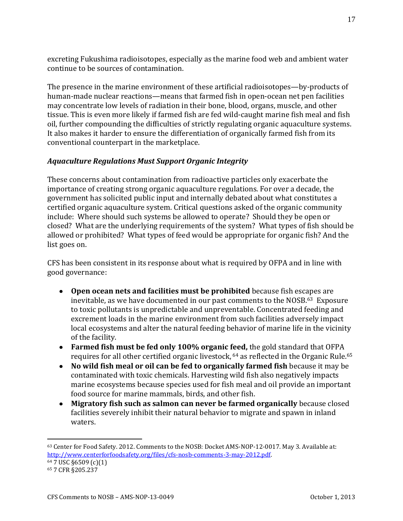excreting Fukushima radioisotopes, especially as the marine food web and ambient water continue to be sources of contamination.

The presence in the marine environment of these artificial radioisotopes—by-products of human-made nuclear reactions—means that farmed fish in open-ocean net pen facilities may concentrate low levels of radiation in their bone, blood, organs, muscle, and other tissue. This is even more likely if farmed fish are fed wild-caught marine fish meal and fish oil, further compounding the difficulties of strictly regulating organic aquaculture systems. It also makes it harder to ensure the differentiation of organically farmed fish from its conventional counterpart in the marketplace.

### *Aquaculture Regulations Must Support Organic Integrity*

These concerns about contamination from radioactive particles only exacerbate the importance of creating strong organic aquaculture regulations. For over a decade, the government has solicited public input and internally debated about what constitutes a certified organic aquaculture system. Critical questions asked of the organic community include: Where should such systems be allowed to operate? Should they be open or closed? What are the underlying requirements of the system? What types of fish should be allowed or prohibited? What types of feed would be appropriate for organic fish? And the list goes on.

CFS has been consistent in its response about what is required by OFPA and in line with good governance:

- **Open ocean nets and facilities must be prohibited** because fish escapes are inevitable, as we have documented in our past comments to the NOSB.63 Exposure to toxic pollutants is unpredictable and unpreventable. Concentrated feeding and excrement loads in the marine environment from such facilities adversely impact local ecosystems and alter the natural feeding behavior of marine life in the vicinity of the facility.
- **Farmed fish must be fed only 100% organic feed,** the gold standard that OFPA requires for all other certified organic livestock, <sup>64</sup> as reflected in the Organic Rule.<sup>65</sup>
- **No wild fish meal or oil can be fed to organically farmed fish** because it may be contaminated with toxic chemicals. Harvesting wild fish also negatively impacts marine ecosystems because species used for fish meal and oil provide an important food source for marine mammals, birds, and other fish.
- **Migratory fish such as salmon can never be farmed organically** because closed facilities severely inhibit their natural behavior to migrate and spawn in inland waters.

<sup>63</sup> Center for Food Safety. 2012. Comments to the NOSB: Docket AMS-NOP-12-0017. May 3. Available at: [http://www.centerforfoodsafety.org/files/cfs-nosb-comments-3-may-2012.pdf.](http://www.centerforfoodsafety.org/files/cfs-nosb-comments-3-may-2012.pdf) <sup>64</sup> 7 USC §6509 (c)(1)

<sup>65</sup> 7 CFR §205.237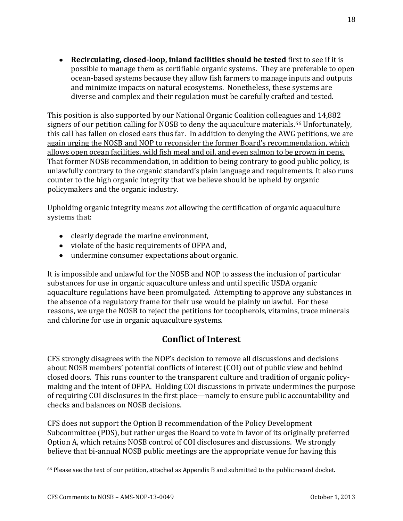**Recirculating, closed-loop, inland facilities should be tested** first to see if it is possible to manage them as certifiable organic systems. They are preferable to open ocean-based systems because they allow fish farmers to manage inputs and outputs and minimize impacts on natural ecosystems. Nonetheless, these systems are diverse and complex and their regulation must be carefully crafted and tested.

This position is also supported by our National Organic Coalition colleagues and 14,882 signers of our petition calling for NOSB to deny the aquaculture materials.<sup>66</sup> Unfortunately, this call has fallen on closed ears thus far. In addition to denying the AWG petitions, we are again urging the NOSB and NOP to reconsider the former Board's recommendation, which allows open ocean facilities, wild fish meal and oil, and even salmon to be grown in pens. That former NOSB recommendation, in addition to being contrary to good public policy, is unlawfully contrary to the organic standard's plain language and requirements. It also runs counter to the high organic integrity that we believe should be upheld by organic policymakers and the organic industry.

Upholding organic integrity means *not* allowing the certification of organic aquaculture systems that:

- clearly degrade the marine environment,
- violate of the basic requirements of OFPA and,
- undermine consumer expectations about organic.

It is impossible and unlawful for the NOSB and NOP to assess the inclusion of particular substances for use in organic aquaculture unless and until specific USDA organic aquaculture regulations have been promulgated. Attempting to approve any substances in the absence of a regulatory frame for their use would be plainly unlawful. For these reasons, we urge the NOSB to reject the petitions for tocopherols, vitamins, trace minerals and chlorine for use in organic aquaculture systems.

# **Conflict of Interest**

CFS strongly disagrees with the NOP's decision to remove all discussions and decisions about NOSB members' potential conflicts of interest (COI) out of public view and behind closed doors. This runs counter to the transparent culture and tradition of organic policymaking and the intent of OFPA. Holding COI discussions in private undermines the purpose of requiring COI disclosures in the first place—namely to ensure public accountability and checks and balances on NOSB decisions.

CFS does not support the Option B recommendation of the Policy Development Subcommittee (PDS), but rather urges the Board to vote in favor of its originally preferred Option A, which retains NOSB control of COI disclosures and discussions. We strongly believe that bi-annual NOSB public meetings are the appropriate venue for having this

<sup>66</sup> Please see the text of our petition, attached as Appendix B and submitted to the public record docket.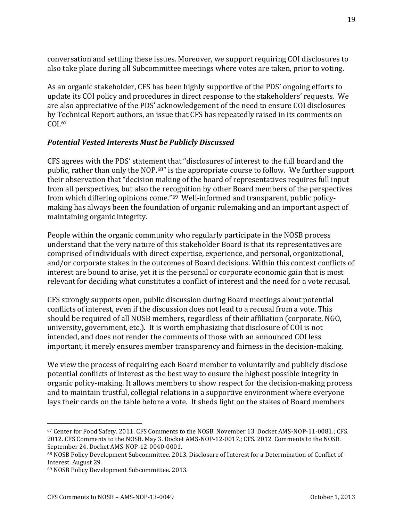conversation and settling these issues. Moreover, we support requiring COI disclosures to also take place during all Subcommittee meetings where votes are taken, prior to voting.

As an organic stakeholder, CFS has been highly supportive of the PDS' ongoing efforts to update its COI policy and procedures in direct response to the stakeholders' requests. We are also appreciative of the PDS' acknowledgement of the need to ensure COI disclosures by Technical Report authors, an issue that CFS has repeatedly raised in its comments on COI.<sup>67</sup>

### *Potential Vested Interests Must be Publicly Discussed*

CFS agrees with the PDS' statement that "disclosures of interest to the full board and the public, rather than only the NOP,68" is the appropriate course to follow. We further support their observation that "decision making of the board of representatives requires full input from all perspectives, but also the recognition by other Board members of the perspectives from which differing opinions come."69 Well-informed and transparent, public policymaking has always been the foundation of organic rulemaking and an important aspect of maintaining organic integrity.

People within the organic community who regularly participate in the NOSB process understand that the very nature of this stakeholder Board is that its representatives are comprised of individuals with direct expertise, experience, and personal, organizational, and/or corporate stakes in the outcomes of Board decisions. Within this context conflicts of interest are bound to arise, yet it is the personal or corporate economic gain that is most relevant for deciding what constitutes a conflict of interest and the need for a vote recusal.

CFS strongly supports open, public discussion during Board meetings about potential conflicts of interest, even if the discussion does not lead to a recusal from a vote. This should be required of all NOSB members, regardless of their affiliation (corporate, NGO, university, government, etc.). It is worth emphasizing that disclosure of COI is not intended, and does not render the comments of those with an announced COI less important, it merely ensures member transparency and fairness in the decision-making.

We view the process of requiring each Board member to voluntarily and publicly disclose potential conflicts of interest as the best way to ensure the highest possible integrity in organic policy-making. It allows members to show respect for the decision-making process and to maintain trustful, collegial relations in a supportive environment where everyone lays their cards on the table before a vote. It sheds light on the stakes of Board members

<sup>67</sup> Center for Food Safety. 2011. CFS Comments to the NOSB. November 13. Docket AMS-NOP-11-0081.; CFS. 2012. CFS Comments to the NOSB. May 3. Docket AMS-NOP-12-0017.; CFS. 2012. Comments to the NOSB. September 24. Docket AMS-NOP-12-0040-0001.

<sup>68</sup> NOSB Policy Development Subcommittee. 2013. Disclosure of Interest for a Determination of Conflict of Interest. August 29.

<sup>69</sup> NOSB Policy Development Subcommittee. 2013.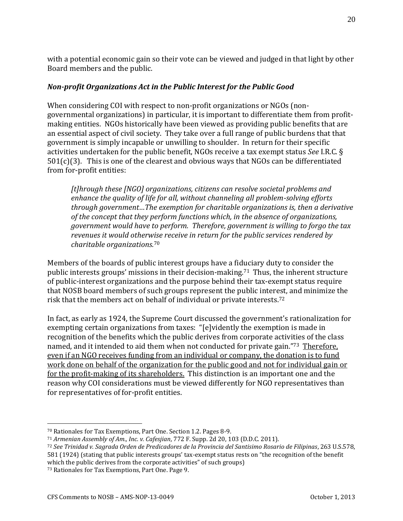with a potential economic gain so their vote can be viewed and judged in that light by other Board members and the public.

#### *Non-profit Organizations Act in the Public Interest for the Public Good*

When considering COI with respect to non-profit organizations or NGOs (nongovernmental organizations) in particular, it is important to differentiate them from profitmaking entities. NGOs historically have been viewed as providing public benefits that are an essential aspect of civil society. They take over a full range of public burdens that that government is simply incapable or unwilling to shoulder. In return for their specific activities undertaken for the public benefit, NGOs receive a tax exempt status *See* I.R.C. §  $501(c)(3)$ . This is one of the clearest and obvious ways that NGOs can be differentiated from for-profit entities:

*[t]hrough these [NGO] organizations, citizens can resolve societal problems and enhance the quality of life for all, without channeling all problem-solving efforts through government…The exemption for charitable organizations is, then a derivative of the concept that they perform functions which, in the absence of organizations, government would have to perform. Therefore, government is willing to forgo the tax revenues it would otherwise receive in return for the public services rendered by charitable organizations.*<sup>70</sup>

Members of the boards of public interest groups have a fiduciary duty to consider the public interests groups' missions in their decision-making.<sup>71</sup> Thus, the inherent structure of public-interest organizations and the purpose behind their tax-exempt status require that NOSB board members of such groups represent the public interest, and minimize the risk that the members act on behalf of individual or private interests.<sup>72</sup>

In fact, as early as 1924, the Supreme Court discussed the government's rationalization for exempting certain organizations from taxes: "[e]vidently the exemption is made in recognition of the benefits which the public derives from corporate activities of the class named, and it intended to aid them when not conducted for private gain."73 Therefore, even if an NGO receives funding from an individual or company, the donation is to fund work done on behalf of the organization for the public good and not for individual gain or for the profit-making of its shareholders. This distinction is an important one and the reason why COI considerations must be viewed differently for NGO representatives than for representatives of for-profit entities.

<sup>70</sup> Rationales for Tax Exemptions, Part One. Section 1.2. Pages 8-9.

<sup>71</sup> *Armenian Assembly of Am., Inc. v. Cafesjian*, 772 F. Supp. 2d 20, 103 (D.D.C. 2011).

<sup>72</sup> *See Trinidad v. Sagrada Orden de Predicadores de la Provincia del Santisimo Rosario de Filipinas*, 263 U.S.578, 581 (1924) (stating that public interests groups' tax-exempt status rests on "the recognition of the benefit which the public derives from the corporate activities" of such groups)

<sup>73</sup> Rationales for Tax Exemptions, Part One. Page 9.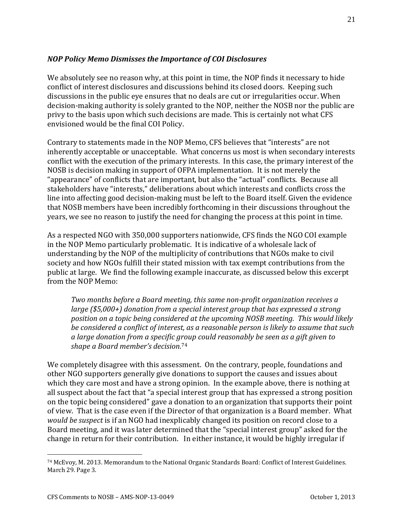#### *NOP Policy Memo Dismisses the Importance of COI Disclosures*

We absolutely see no reason why, at this point in time, the NOP finds it necessary to hide conflict of interest disclosures and discussions behind its closed doors. Keeping such discussions in the public eye ensures that no deals are cut or irregularities occur. When decision-making authority is solely granted to the NOP, neither the NOSB nor the public are privy to the basis upon which such decisions are made. This is certainly not what CFS envisioned would be the final COI Policy.

Contrary to statements made in the NOP Memo, CFS believes that "interests" are not inherently acceptable or unacceptable. What concerns us most is when secondary interests conflict with the execution of the primary interests. In this case, the primary interest of the NOSB is decision making in support of OFPA implementation. It is not merely the "appearance" of conflicts that are important, but also the "actual" conflicts. Because all stakeholders have "interests," deliberations about which interests and conflicts cross the line into affecting good decision-making must be left to the Board itself. Given the evidence that NOSB members have been incredibly forthcoming in their discussions throughout the years, we see no reason to justify the need for changing the process at this point in time.

As a respected NGO with 350,000 supporters nationwide, CFS finds the NGO COI example in the NOP Memo particularly problematic. It is indicative of a wholesale lack of understanding by the NOP of the multiplicity of contributions that NGOs make to civil society and how NGOs fulfill their stated mission with tax exempt contributions from the public at large. We find the following example inaccurate, as discussed below this excerpt from the NOP Memo:

*Two months before a Board meeting, this same non-profit organization receives a large (\$5,000+) donation from a special interest group that has expressed a strong position on a topic being considered at the upcoming NOSB meeting. This would likely be considered a conflict of interest, as a reasonable person is likely to assume that such a large donation from a specific group could reasonably be seen as a gift given to shape a Board member's decision.*<sup>74</sup>

We completely disagree with this assessment. On the contrary, people, foundations and other NGO supporters generally give donations to support the causes and issues about which they care most and have a strong opinion. In the example above, there is nothing at all suspect about the fact that "a special interest group that has expressed a strong position on the topic being considered" gave a donation to an organization that supports their point of view. That is the case even if the Director of that organization is a Board member. What *would be suspect* is if an NGO had inexplicably changed its position on record close to a Board meeting, and it was later determined that the "special interest group" asked for the change in return for their contribution. In either instance, it would be highly irregular if

<sup>74</sup> McEvoy, M. 2013. Memorandum to the National Organic Standards Board: Conflict of Interest Guidelines. March 29. Page 3.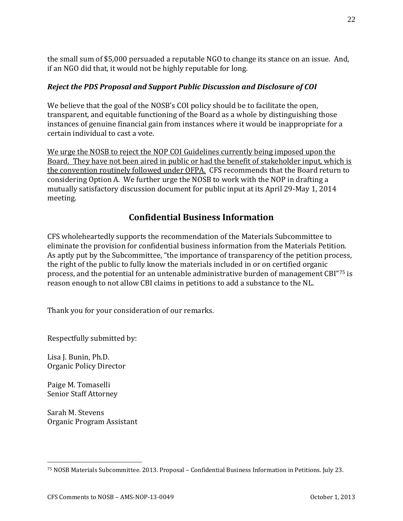the small sum of \$5,000 persuaded a reputable NGO to change its stance on an issue. And, if an NGO did that, it would not be highly reputable for long.

### *Reject the PDS Proposal and Support Public Discussion and Disclosure of COI*

We believe that the goal of the NOSB's COI policy should be to facilitate the open, transparent, and equitable functioning of the Board as a whole by distinguishing those instances of genuine financial gain from instances where it would be inappropriate for a certain individual to cast a vote.

We urge the NOSB to reject the NOP COI Guidelines currently being imposed upon the Board. They have not been aired in public or had the benefit of stakeholder input, which is the convention routinely followed under OFPA. CFS recommends that the Board return to considering Option A. We further urge the NOSB to work with the NOP in drafting a mutually satisfactory discussion document for public input at its April 29-May 1, 2014 meeting.

## **Confidential Business Information**

CFS wholeheartedly supports the recommendation of the Materials Subcommittee to eliminate the provision for confidential business information from the Materials Petition. As aptly put by the Subcommittee, "the importance of transparency of the petition process, the right of the public to fully know the materials included in or on certified organic process, and the potential for an untenable administrative burden of management CBI"<sup>75</sup> is reason enough to not allow CBI claims in petitions to add a substance to the NL.

Thank you for your consideration of our remarks.

Respectfully submitted by:

Lisa J. Bunin, Ph.D. Organic Policy Director

Paige M. Tomaselli Senior Staff Attorney

 $\overline{a}$ 

Sarah M. Stevens Organic Program Assistant

<sup>75</sup> NOSB Materials Subcommittee. 2013. Proposal – Confidential Business Information in Petitions. July 23.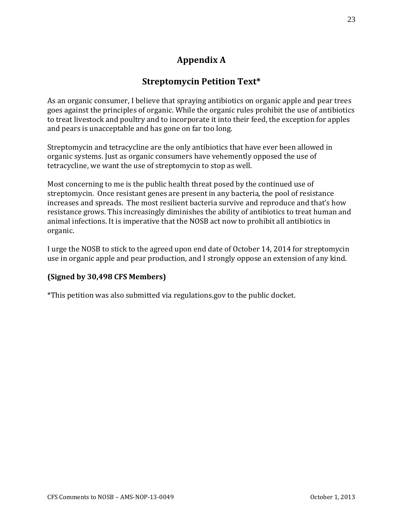# **Appendix A**

## **Streptomycin Petition Text\***

As an organic consumer, I believe that spraying antibiotics on organic apple and pear trees goes against the principles of organic. While the organic rules prohibit the use of antibiotics to treat livestock and poultry and to incorporate it into their feed, the exception for apples and pears is unacceptable and has gone on far too long.

Streptomycin and tetracycline are the only antibiotics that have ever been allowed in organic systems. Just as organic consumers have vehemently opposed the use of tetracycline, we want the use of streptomycin to stop as well.

Most concerning to me is the public health threat posed by the continued use of streptomycin. Once resistant genes are present in any bacteria, the pool of resistance increases and spreads. The most resilient bacteria survive and reproduce and that's how resistance grows. This increasingly diminishes the ability of antibiotics to treat human and animal infections. It is imperative that the NOSB act now to prohibit all antibiotics in organic.

I urge the NOSB to stick to the agreed upon end date of October 14, 2014 for streptomycin use in organic apple and pear production, and I strongly oppose an extension of any kind.

#### **(Signed by 30,498 CFS Members)**

\*This petition was also submitted via regulations.gov to the public docket.